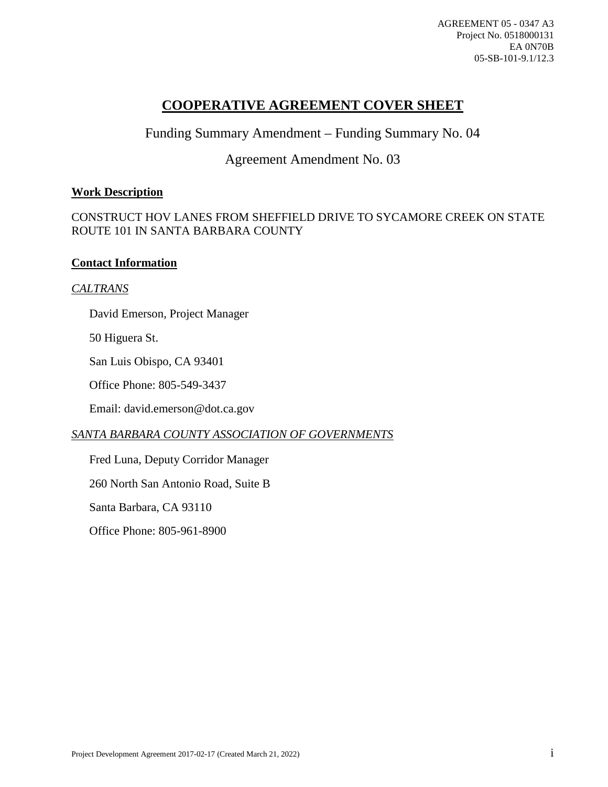AGREEMENT 05 - 0347 A3 Project No. 0518000131 EA 0N70B 05-SB-101-9.1/12.3

## **COOPERATIVE AGREEMENT COVER SHEET**

Funding Summary Amendment – Funding Summary No. 04

## Agreement Amendment No. 03

### **Work Description**

### CONSTRUCT HOV LANES FROM SHEFFIELD DRIVE TO SYCAMORE CREEK ON STATE ROUTE 101 IN SANTA BARBARA COUNTY

#### **Contact Information**

#### *CALTRANS*

David Emerson, Project Manager

50 Higuera St.

San Luis Obispo, CA 93401

Office Phone: 805-549-3437

Email: david.emerson@dot.ca.gov

### *SANTA BARBARA COUNTY ASSOCIATION OF GOVERNMENTS*

Fred Luna, Deputy Corridor Manager

260 North San Antonio Road, Suite B

Santa Barbara, CA 93110

Office Phone: 805-961-8900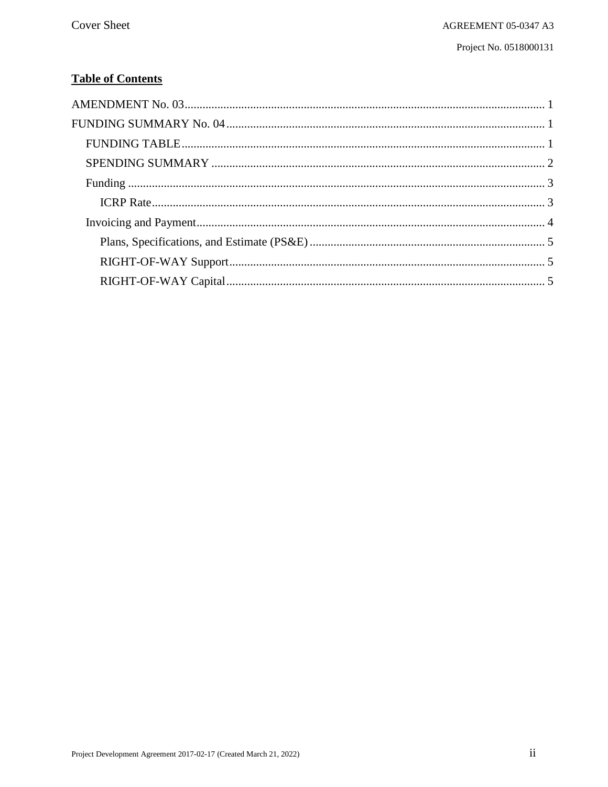# **Table of Contents**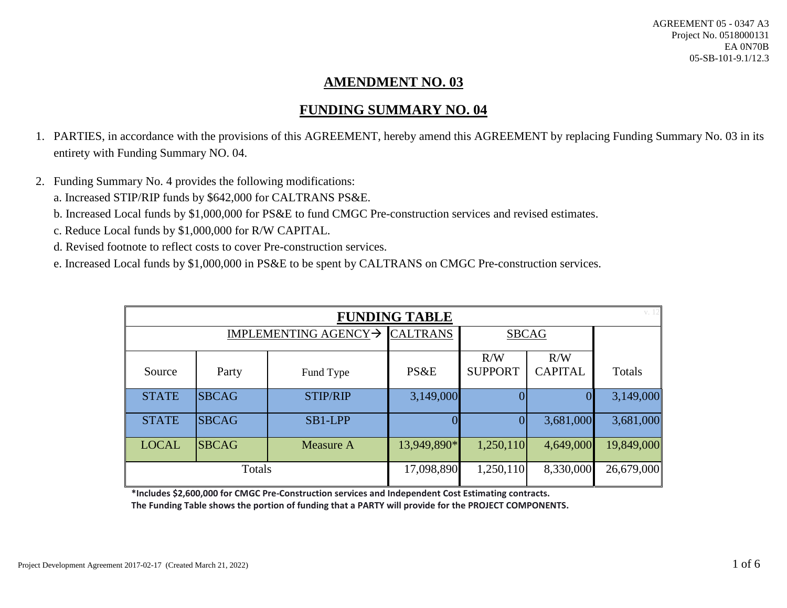# **AMENDMENT NO. 03**

# **FUNDING SUMMARY NO. 04**

- 1. PARTIES, in accordance with the provisions of this AGREEMENT, hereby amend this AGREEMENT by replacing Funding Summary No. 03 in its entirety with Funding Summary NO. 04.
- <span id="page-2-1"></span><span id="page-2-0"></span>2. Funding Summary No. 4 provides the following modifications: a. Increased STIP/RIP funds by \$642,000 for CALTRANS PS&E.
	- b. Increased Local funds by \$1,000,000 for PS&E to fund CMGC Pre-construction services and revised estimates.
	- c. Reduce Local funds by \$1,000,000 for R/W CAPITAL.
	- d. Revised footnote to reflect costs to cover Pre-construction services.
	- e. Increased Local funds by \$1,000,000 in PS&E to be spent by CALTRANS on CMGC Pre-construction services.

| v. 12<br><b>FUNDING TABLE</b> |              |                 |                 |                       |                       |            |
|-------------------------------|--------------|-----------------|-----------------|-----------------------|-----------------------|------------|
| IMPLEMENTING AGENCY→          |              |                 | <b>CALTRANS</b> | <b>SBCAG</b>          |                       |            |
| Source                        | Party        | Fund Type       | PS&E            | R/W<br><b>SUPPORT</b> | R/W<br><b>CAPITAL</b> | Totals     |
| <b>STATE</b>                  | <b>SBCAG</b> | <b>STIP/RIP</b> | 3,149,000       |                       | 0                     | 3,149,000  |
| <b>STATE</b>                  | <b>SBCAG</b> | SB1-LPP         |                 |                       | 3,681,000             | 3,681,000  |
| <b>LOCAL</b>                  | <b>SBCAG</b> | Measure A       | 13,949,890*     | 1,250,110             | 4,649,000             | 19,849,000 |
| Totals                        |              |                 | 17,098,890      | 1,250,110             | 8,330,000             | 26,679,000 |

<span id="page-2-2"></span>**\*Includes \$2,600,000 for CMGC Pre-Construction services and Independent Cost Estimating contracts.** 

**The Funding Table shows the portion of funding that a PARTY will provide for the PROJECT COMPONENTS.**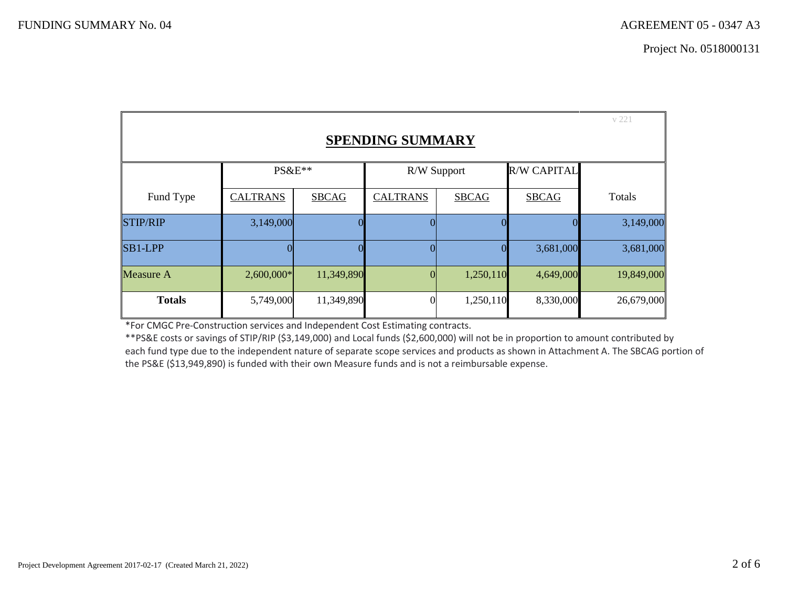|                         |                 |              |                 |              |                    | v 221      |
|-------------------------|-----------------|--------------|-----------------|--------------|--------------------|------------|
| <b>SPENDING SUMMARY</b> |                 |              |                 |              |                    |            |
|                         | $PS&E**$        |              | R/W Support     |              | <b>R/W CAPITAL</b> |            |
| Fund Type               | <b>CALTRANS</b> | <b>SBCAG</b> | <b>CALTRANS</b> | <b>SBCAG</b> | <b>SBCAG</b>       | Totals     |
| <b>STIP/RIP</b>         | 3,149,000       | 0            | 0               |              | $\theta$           | 3,149,000  |
| $SB1-LPP$               | $\Omega$        | 0            | $\overline{0}$  | 0            | 3,681,000          | 3,681,000  |
| <b>Measure A</b>        | $2,600,000*$    | 11,349,890   | $\overline{0}$  | 1,250,110    | 4,649,000          | 19,849,000 |
| <b>Totals</b>           | 5,749,000       | 11,349,890   | $\overline{0}$  | 1,250,110    | 8,330,000          | 26,679,000 |

<span id="page-3-0"></span>\*For CMGC Pre-Construction services and Independent Cost Estimating contracts.

\*\*PS&E costs or savings of STIP/RIP (\$3,149,000) and Local funds (\$2,600,000) will not be in proportion to amount contributed by each fund type due to the independent nature of separate scope services and products as shown in Attachment A. The SBCAG portion of the PS&E (\$13,949,890) is funded with their own Measure funds and is not a reimbursable expense.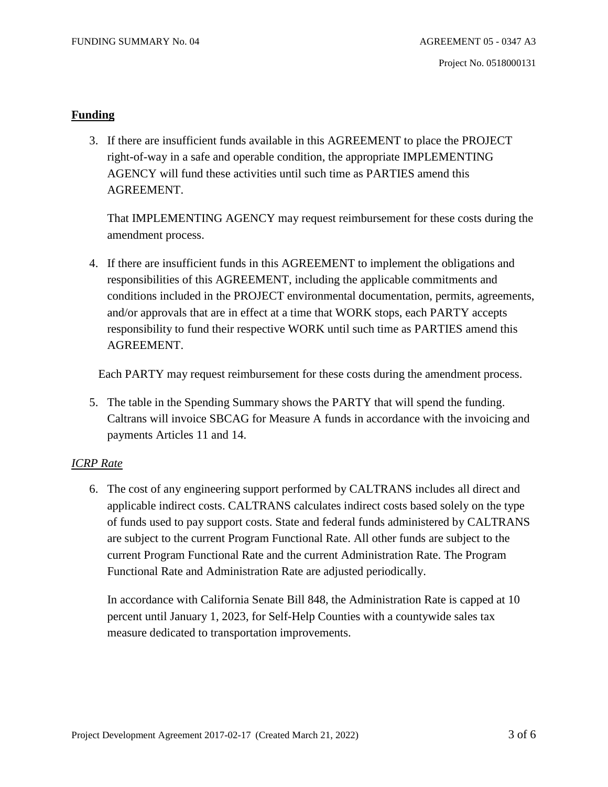### <span id="page-4-0"></span>**Funding**

3. If there are insufficient funds available in this AGREEMENT to place the PROJECT right-of-way in a safe and operable condition, the appropriate IMPLEMENTING AGENCY will fund these activities until such time as PARTIES amend this AGREEMENT.

That IMPLEMENTING AGENCY may request reimbursement for these costs during the amendment process.

4. If there are insufficient funds in this AGREEMENT to implement the obligations and responsibilities of this AGREEMENT, including the applicable commitments and conditions included in the PROJECT environmental documentation, permits, agreements, and/or approvals that are in effect at a time that WORK stops, each PARTY accepts responsibility to fund their respective WORK until such time as PARTIES amend this AGREEMENT.

Each PARTY may request reimbursement for these costs during the amendment process.

5. The table in the Spending Summary shows the PARTY that will spend the funding. Caltrans will invoice SBCAG for Measure A funds in accordance with the invoicing and payments Articles 11 and 14.

## <span id="page-4-1"></span>*ICRP Rate*

6. The cost of any engineering support performed by CALTRANS includes all direct and applicable indirect costs. CALTRANS calculates indirect costs based solely on the type of funds used to pay support costs. State and federal funds administered by CALTRANS are subject to the current Program Functional Rate. All other funds are subject to the current Program Functional Rate and the current Administration Rate. The Program Functional Rate and Administration Rate are adjusted periodically.

In accordance with California Senate Bill 848, the Administration Rate is capped at 10 percent until January 1, 2023, for Self-Help Counties with a countywide sales tax measure dedicated to transportation improvements.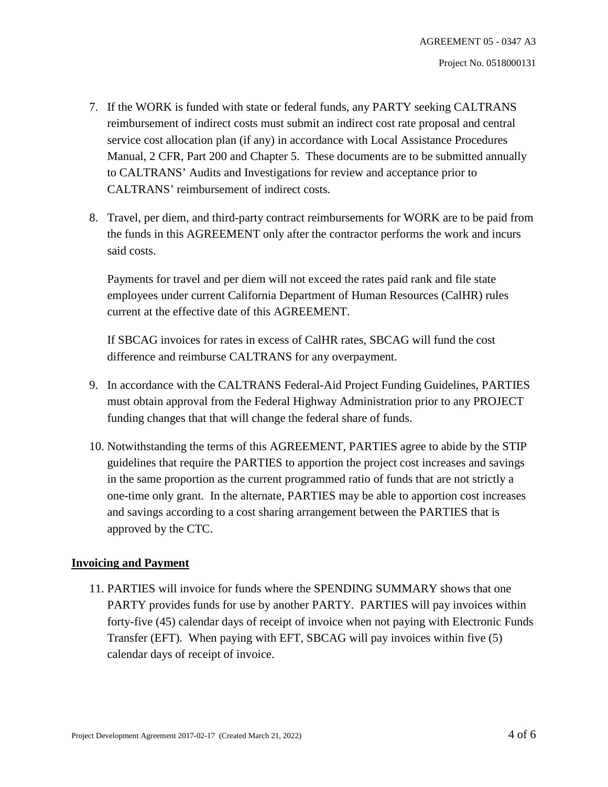- 7. If the WORK is funded with state or federal funds, any PARTY seeking CALTRANS reimbursement of indirect costs must submit an indirect cost rate proposal and central service cost allocation plan (if any) in accordance with Local Assistance Procedures Manual, 2 CFR, Part 200 and Chapter 5. These documents are to be submitted annually to CALTRANS' Audits and Investigations for review and acceptance prior to CALTRANS' reimbursement of indirect costs.
- 8. Travel, per diem, and third-party contract reimbursements for WORK are to be paid from the funds in this AGREEMENT only after the contractor performs the work and incurs said costs.

Payments for travel and per diem will not exceed the rates paid rank and file state employees under current California Department of Human Resources (CalHR) rules current at the effective date of this AGREEMENT.

If SBCAG invoices for rates in excess of CalHR rates, SBCAG will fund the cost difference and reimburse CALTRANS for any overpayment.

- 9. In accordance with the CALTRANS Federal-Aid Project Funding Guidelines, PARTIES must obtain approval from the Federal Highway Administration prior to any PROJECT funding changes that that will change the federal share of funds.
- 10. Notwithstanding the terms of this AGREEMENT, PARTIES agree to abide by the STIP guidelines that require the PARTIES to apportion the project cost increases and savings in the same proportion as the current programmed ratio of funds that are not strictly a one-time only grant. In the alternate, PARTIES may be able to apportion cost increases and savings according to a cost sharing arrangement between the PARTIES that is approved by the CTC.

## <span id="page-5-0"></span>**Invoicing and Payment**

11. PARTIES will invoice for funds where the SPENDING SUMMARY shows that one PARTY provides funds for use by another PARTY. PARTIES will pay invoices within forty-five (45) calendar days of receipt of invoice when not paying with Electronic Funds Transfer (EFT). When paying with EFT, SBCAG will pay invoices within five (5) calendar days of receipt of invoice.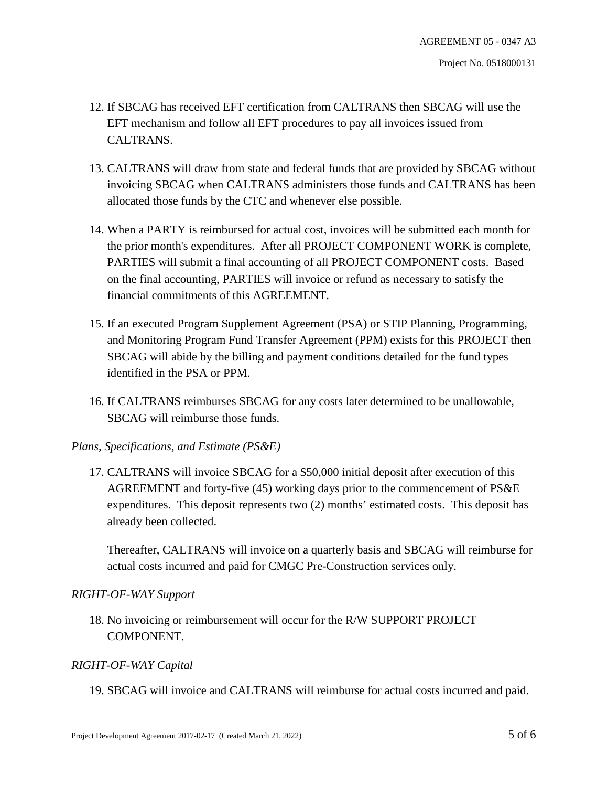- 12. If SBCAG has received EFT certification from CALTRANS then SBCAG will use the EFT mechanism and follow all EFT procedures to pay all invoices issued from CALTRANS.
- 13. CALTRANS will draw from state and federal funds that are provided by SBCAG without invoicing SBCAG when CALTRANS administers those funds and CALTRANS has been allocated those funds by the CTC and whenever else possible.
- 14. When a PARTY is reimbursed for actual cost, invoices will be submitted each month for the prior month's expenditures. After all PROJECT COMPONENT WORK is complete, PARTIES will submit a final accounting of all PROJECT COMPONENT costs. Based on the final accounting, PARTIES will invoice or refund as necessary to satisfy the financial commitments of this AGREEMENT.
- 15. If an executed Program Supplement Agreement (PSA) or STIP Planning, Programming, and Monitoring Program Fund Transfer Agreement (PPM) exists for this PROJECT then SBCAG will abide by the billing and payment conditions detailed for the fund types identified in the PSA or PPM.
- 16. If CALTRANS reimburses SBCAG for any costs later determined to be unallowable, SBCAG will reimburse those funds.

## <span id="page-6-0"></span>*Plans, Specifications, and Estimate (PS&E)*

17. CALTRANS will invoice SBCAG for a \$50,000 initial deposit after execution of this AGREEMENT and forty-five (45) working days prior to the commencement of PS&E expenditures. This deposit represents two (2) months' estimated costs. This deposit has already been collected.

Thereafter, CALTRANS will invoice on a quarterly basis and SBCAG will reimburse for actual costs incurred and paid for CMGC Pre-Construction services only.

## <span id="page-6-1"></span>*RIGHT-OF-WAY Support*

18. No invoicing or reimbursement will occur for the R/W SUPPORT PROJECT COMPONENT.

## <span id="page-6-2"></span>*RIGHT-OF-WAY Capital*

19. SBCAG will invoice and CALTRANS will reimburse for actual costs incurred and paid.